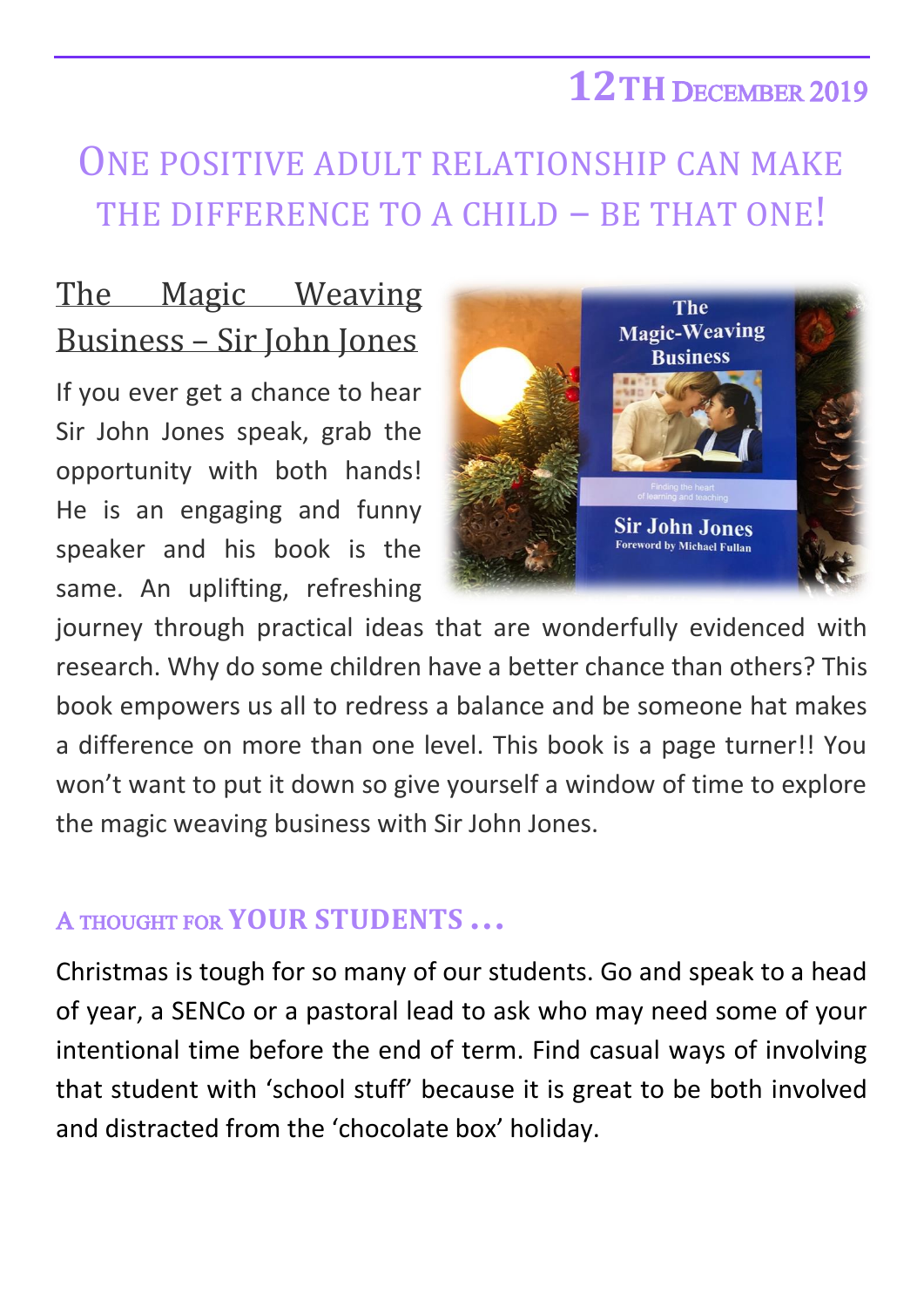## **12TH** DECEMBER 2019

## ONE POSITIVE ADULT RELATIONSHIP CAN MAKE THE DIFFERENCE TO A CHILD – BE THAT ONE!

## The Magic Weaving Business – Sir John Jones

If you ever get a chance to hear Sir John Jones speak, grab the opportunity with both hands! He is an engaging and funny speaker and his book is the same. An uplifting, refreshing



journey through practical ideas that are wonderfully evidenced with research. Why do some children have a better chance than others? This book empowers us all to redress a balance and be someone hat makes a difference on more than one level. This book is a page turner!! You won't want to put it down so give yourself a window of time to explore the magic weaving business with Sir John Jones.

## A THOUGHT FOR **YOUR STUDENTS …**

Christmas is tough for so many of our students. Go and speak to a head of year, a SENCo or a pastoral lead to ask who may need some of your intentional time before the end of term. Find casual ways of involving that student with 'school stuff' because it is great to be both involved and distracted from the 'chocolate box' holiday.